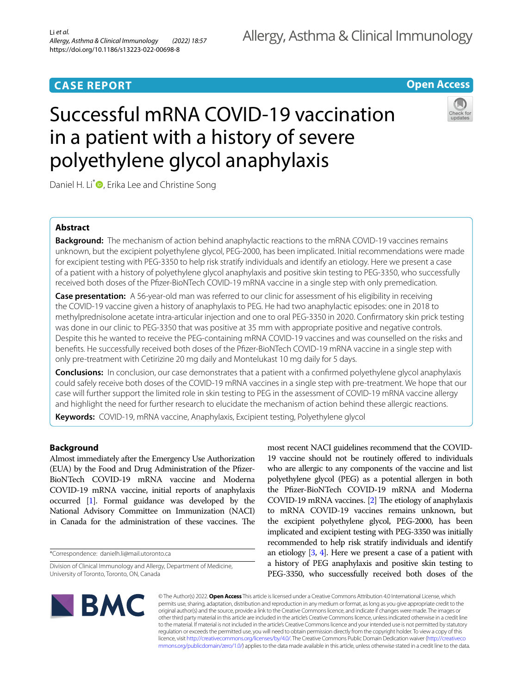# **CASE REPORT**

# **Open Access**

# Successful mRNA COVID-19 vaccination in a patient with a history of severe polyethylene glycol anaphylaxis



Daniel H. Li<sup>[\\*](http://orcid.org/0000-0001-5508-2961)</sup> , Erika Lee and Christine Song

# **Abstract**

**Background:** The mechanism of action behind anaphylactic reactions to the mRNA COVID-19 vaccines remains unknown, but the excipient polyethylene glycol, PEG-2000, has been implicated. Initial recommendations were made for excipient testing with PEG-3350 to help risk stratify individuals and identify an etiology. Here we present a case of a patient with a history of polyethylene glycol anaphylaxis and positive skin testing to PEG-3350, who successfully received both doses of the Pfzer-BioNTech COVID-19 mRNA vaccine in a single step with only premedication.

**Case presentation:** A 56-year-old man was referred to our clinic for assessment of his eligibility in receiving the COVID-19 vaccine given a history of anaphylaxis to PEG. He had two anaphylactic episodes: one in 2018 to methylprednisolone acetate intra-articular injection and one to oral PEG-3350 in 2020. Confrmatory skin prick testing was done in our clinic to PEG-3350 that was positive at 35 mm with appropriate positive and negative controls. Despite this he wanted to receive the PEG-containing mRNA COVID-19 vaccines and was counselled on the risks and benefts. He successfully received both doses of the Pfzer-BioNTech COVID-19 mRNA vaccine in a single step with only pre-treatment with Cetirizine 20 mg daily and Montelukast 10 mg daily for 5 days.

**Conclusions:** In conclusion, our case demonstrates that a patient with a confrmed polyethylene glycol anaphylaxis could safely receive both doses of the COVID-19 mRNA vaccines in a single step with pre-treatment. We hope that our case will further support the limited role in skin testing to PEG in the assessment of COVID-19 mRNA vaccine allergy and highlight the need for further research to elucidate the mechanism of action behind these allergic reactions.

**Keywords:** COVID-19, mRNA vaccine, Anaphylaxis, Excipient testing, Polyethylene glycol

# **Background**

Almost immediately after the Emergency Use Authorization (EUA) by the Food and Drug Administration of the Pfzer-BioNTech COVID-19 mRNA vaccine and Moderna COVID-19 mRNA vaccine, initial reports of anaphylaxis occurred [\[1\]](#page-2-0). Formal guidance was developed by the National Advisory Committee on Immunization (NACI) in Canada for the administration of these vaccines. The

\*Correspondence: danielh.li@mail.utoronto.ca

most recent NACI guidelines recommend that the COVID-19 vaccine should not be routinely ofered to individuals who are allergic to any components of the vaccine and list polyethylene glycol (PEG) as a potential allergen in both the Pfzer-BioNTech COVID-19 mRNA and Moderna COVID-19 mRNA vaccines.  $[2]$  $[2]$  $[2]$  The etiology of anaphylaxis to mRNA COVID-19 vaccines remains unknown, but the excipient polyethylene glycol, PEG-2000, has been implicated and excipient testing with PEG-3350 was initially recommended to help risk stratify individuals and identify an etiology  $[3, 4]$  $[3, 4]$  $[3, 4]$ . Here we present a case of a patient with a history of PEG anaphylaxis and positive skin testing to PEG-3350, who successfully received both doses of the



© The Author(s) 2022. **Open Access** This article is licensed under a Creative Commons Attribution 4.0 International License, which permits use, sharing, adaptation, distribution and reproduction in any medium or format, as long as you give appropriate credit to the original author(s) and the source, provide a link to the Creative Commons licence, and indicate if changes were made. The images or other third party material in this article are included in the article's Creative Commons licence, unless indicated otherwise in a credit line to the material. If material is not included in the article's Creative Commons licence and your intended use is not permitted by statutory regulation or exceeds the permitted use, you will need to obtain permission directly from the copyright holder. To view a copy of this licence, visit [http://creativecommons.org/licenses/by/4.0/.](http://creativecommons.org/licenses/by/4.0/) The Creative Commons Public Domain Dedication waiver ([http://creativeco](http://creativecommons.org/publicdomain/zero/1.0/) [mmons.org/publicdomain/zero/1.0/](http://creativecommons.org/publicdomain/zero/1.0/)) applies to the data made available in this article, unless otherwise stated in a credit line to the data.

Division of Clinical Immunology and Allergy, Department of Medicine, University of Toronto, Toronto, ON, Canada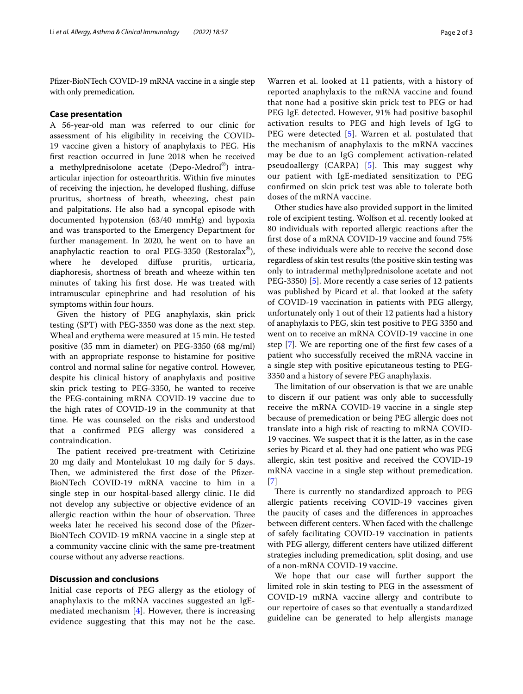Pfizer-BioNTech COVID-19 mRNA vaccine in a single step with only premedication.

# **Case presentation**

A 56-year-old man was referred to our clinic for assessment of his eligibility in receiving the COVID-19 vaccine given a history of anaphylaxis to PEG. His frst reaction occurred in June 2018 when he received a methylprednisolone acetate (Depo-Medrol®) intraarticular injection for osteoarthritis. Within fve minutes of receiving the injection, he developed fushing, difuse pruritus, shortness of breath, wheezing, chest pain and palpitations. He also had a syncopal episode with documented hypotension (63/40 mmHg) and hypoxia and was transported to the Emergency Department for further management. In 2020, he went on to have an anaphylactic reaction to oral PEG-3350 (Restoralax®), where he developed difuse pruritis, urticaria, diaphoresis, shortness of breath and wheeze within ten minutes of taking his frst dose. He was treated with intramuscular epinephrine and had resolution of his symptoms within four hours.

Given the history of PEG anaphylaxis, skin prick testing (SPT) with PEG-3350 was done as the next step. Wheal and erythema were measured at 15 min. He tested positive (35 mm in diameter) on PEG-3350 (68 mg/ml) with an appropriate response to histamine for positive control and normal saline for negative control. However, despite his clinical history of anaphylaxis and positive skin prick testing to PEG-3350, he wanted to receive the PEG-containing mRNA COVID-19 vaccine due to the high rates of COVID-19 in the community at that time. He was counseled on the risks and understood that a confrmed PEG allergy was considered a contraindication.

The patient received pre-treatment with Cetirizine 20 mg daily and Montelukast 10 mg daily for 5 days. Then, we administered the first dose of the Pfizer-BioNTech COVID-19 mRNA vaccine to him in a single step in our hospital-based allergy clinic. He did not develop any subjective or objective evidence of an allergic reaction within the hour of observation. Three weeks later he received his second dose of the Pfzer-BioNTech COVID-19 mRNA vaccine in a single step at a community vaccine clinic with the same pre-treatment course without any adverse reactions.

# **Discussion and conclusions**

Initial case reports of PEG allergy as the etiology of anaphylaxis to the mRNA vaccines suggested an IgEmediated mechanism [[4\]](#page-2-3). However, there is increasing evidence suggesting that this may not be the case.

Warren et al. looked at 11 patients, with a history of reported anaphylaxis to the mRNA vaccine and found that none had a positive skin prick test to PEG or had PEG IgE detected. However, 91% had positive basophil activation results to PEG and high levels of IgG to PEG were detected [[5\]](#page-2-4). Warren et al. postulated that the mechanism of anaphylaxis to the mRNA vaccines may be due to an IgG complement activation-related pseudoallergy  $(CARPA)$  [[5\]](#page-2-4). This may suggest why our patient with IgE-mediated sensitization to PEG confrmed on skin prick test was able to tolerate both doses of the mRNA vaccine.

Other studies have also provided support in the limited role of excipient testing. Wolfson et al. recently looked at 80 individuals with reported allergic reactions after the frst dose of a mRNA COVID-19 vaccine and found 75% of these individuals were able to receive the second dose regardless of skin test results (the positive skin testing was only to intradermal methylprednisolone acetate and not PEG-3350) [[5\]](#page-2-4). More recently a case series of 12 patients was published by Picard et al. that looked at the safety of COVID-19 vaccination in patients with PEG allergy, unfortunately only 1 out of their 12 patients had a history of anaphylaxis to PEG, skin test positive to PEG 3350 and went on to receive an mRNA COVID-19 vaccine in one step [[7\]](#page-2-5). We are reporting one of the frst few cases of a patient who successfully received the mRNA vaccine in a single step with positive epicutaneous testing to PEG-3350 and a history of severe PEG anaphylaxis.

The limitation of our observation is that we are unable to discern if our patient was only able to successfully receive the mRNA COVID-19 vaccine in a single step because of premedication or being PEG allergic does not translate into a high risk of reacting to mRNA COVID-19 vaccines. We suspect that it is the latter, as in the case series by Picard et al. they had one patient who was PEG allergic, skin test positive and received the COVID-19 mRNA vaccine in a single step without premedication. [[7\]](#page-2-5)

There is currently no standardized approach to PEG allergic patients receiving COVID-19 vaccines given the paucity of cases and the diferences in approaches between diferent centers. When faced with the challenge of safely facilitating COVID-19 vaccination in patients with PEG allergy, diferent centers have utilized diferent strategies including premedication, split dosing, and use of a non-mRNA COVID-19 vaccine.

We hope that our case will further support the limited role in skin testing to PEG in the assessment of COVID-19 mRNA vaccine allergy and contribute to our repertoire of cases so that eventually a standardized guideline can be generated to help allergists manage